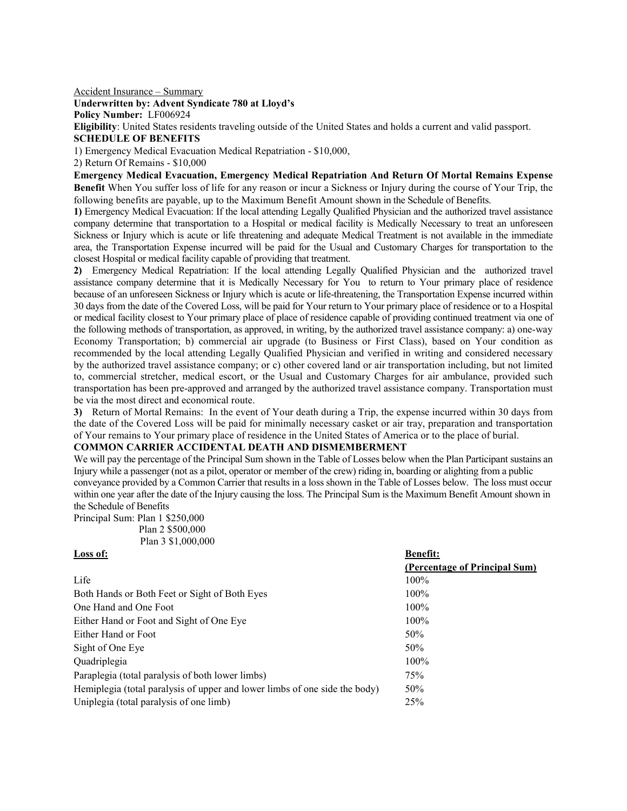Accident Insurance – Summary

#### **Underwritten by: Advent Syndicate 780 at Lloyd's**

**Policy Number:** LF006924

**Eligibility**: United States residents traveling outside of the United States and holds a current and valid passport.

#### **SCHEDULE OF BENEFITS**

1) Emergency Medical Evacuation Medical Repatriation - \$10,000,

2) Return Of Remains - \$10,000

**Emergency Medical Evacuation, Emergency Medical Repatriation And Return Of Mortal Remains Expense Benefit** When You suffer loss of life for any reason or incur a Sickness or Injury during the course of Your Trip, the following benefits are payable, up to the Maximum Benefit Amount shown in the Schedule of Benefits.

**1)** Emergency Medical Evacuation: If the local attending Legally Qualified Physician and the authorized travel assistance company determine that transportation to a Hospital or medical facility is Medically Necessary to treat an unforeseen Sickness or Injury which is acute or life threatening and adequate Medical Treatment is not available in the immediate area, the Transportation Expense incurred will be paid for the Usual and Customary Charges for transportation to the closest Hospital or medical facility capable of providing that treatment.

**2)** Emergency Medical Repatriation: If the local attending Legally Qualified Physician and the authorized travel assistance company determine that it is Medically Necessary for You to return to Your primary place of residence because of an unforeseen Sickness or Injury which is acute or life-threatening, the Transportation Expense incurred within 30 days from the date of the Covered Loss, will be paid for Your return to Your primary place of residence or to a Hospital or medical facility closest to Your primary place of place of residence capable of providing continued treatment via one of the following methods of transportation, as approved, in writing, by the authorized travel assistance company: a) one-way Economy Transportation; b) commercial air upgrade (to Business or First Class), based on Your condition as recommended by the local attending Legally Qualified Physician and verified in writing and considered necessary by the authorized travel assistance company; or c) other covered land or air transportation including, but not limited to, commercial stretcher, medical escort, or the Usual and Customary Charges for air ambulance, provided such transportation has been pre-approved and arranged by the authorized travel assistance company. Transportation must be via the most direct and economical route.

**3)** Return of Mortal Remains: In the event of Your death during a Trip, the expense incurred within 30 days from the date of the Covered Loss will be paid for minimally necessary casket or air tray, preparation and transportation of Your remains to Your primary place of residence in the United States of America or to the place of burial.

# **COMMON CARRIER ACCIDENTAL DEATH AND DISMEMBERMENT**

We will pay the percentage of the Principal Sum shown in the Table of Losses below when the Plan Participant sustains an Injury while a passenger (not as a pilot, operator or member of the crew) riding in, boarding or alighting from a public conveyance provided by a Common Carrier that results in a loss shown in the Table of Losses below. The loss must occur within one year after the date of the Injury causing the loss. The Principal Sum is the Maximum Benefit Amount shown in the Schedule of Benefits

Principal Sum: Plan 1 \$250,000 Plan 2 \$500,000

Plan 3 \$1,000,000

| <b>Loss of:</b>                                                            | <b>Benefit:</b>               |
|----------------------------------------------------------------------------|-------------------------------|
|                                                                            | (Percentage of Principal Sum) |
| Life                                                                       | $100\%$                       |
| Both Hands or Both Feet or Sight of Both Eyes                              | $100\%$                       |
| One Hand and One Foot                                                      | $100\%$                       |
| Either Hand or Foot and Sight of One Eye                                   | $100\%$                       |
| Either Hand or Foot                                                        | 50%                           |
| Sight of One Eye                                                           | 50%                           |
| Quadriplegia                                                               | $100\%$                       |
| Paraplegia (total paralysis of both lower limbs)                           | 75%                           |
| Hemiplegia (total paralysis of upper and lower limbs of one side the body) | 50%                           |
| Uniplegia (total paralysis of one limb)                                    | 25%                           |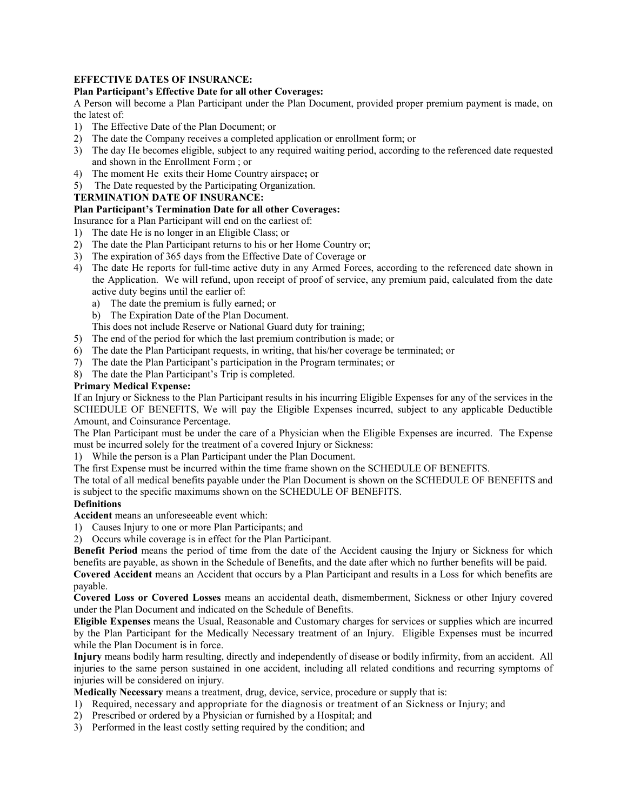### **EFFECTIVE DATES OF INSURANCE:**

### **Plan Participant's Effective Date for all other Coverages:**

A Person will become a Plan Participant under the Plan Document, provided proper premium payment is made, on the latest of:

- 1) The Effective Date of the Plan Document; or
- 2) The date the Company receives a completed application or enrollment form; or
- 3) The day He becomes eligible, subject to any required waiting period, according to the referenced date requested and shown in the Enrollment Form ; or
- 4) The moment He exits their Home Country airspace**;** or
- 5) The Date requested by the Participating Organization.

### **TERMINATION DATE OF INSURANCE:**

## **Plan Participant's Termination Date for all other Coverages:**

Insurance for a Plan Participant will end on the earliest of:

- 1) The date He is no longer in an Eligible Class; or
- 2) The date the Plan Participant returns to his or her Home Country or;
- 3) The expiration of 365 days from the Effective Date of Coverage or
- 4) The date He reports for full-time active duty in any Armed Forces, according to the referenced date shown in the Application. We will refund, upon receipt of proof of service, any premium paid, calculated from the date active duty begins until the earlier of:
	- a) The date the premium is fully earned; or
	- b) The Expiration Date of the Plan Document.

This does not include Reserve or National Guard duty for training;

- 5) The end of the period for which the last premium contribution is made; or
- 6) The date the Plan Participant requests, in writing, that his/her coverage be terminated; or
- 7) The date the Plan Participant's participation in the Program terminates; or
- 8) The date the Plan Participant's Trip is completed.

# **Primary Medical Expense:**

If an Injury or Sickness to the Plan Participant results in his incurring Eligible Expenses for any of the services in the SCHEDULE OF BENEFITS, We will pay the Eligible Expenses incurred, subject to any applicable Deductible Amount, and Coinsurance Percentage.

The Plan Participant must be under the care of a Physician when the Eligible Expenses are incurred. The Expense must be incurred solely for the treatment of a covered Injury or Sickness:

1) While the person is a Plan Participant under the Plan Document.

The first Expense must be incurred within the time frame shown on the SCHEDULE OF BENEFITS.

The total of all medical benefits payable under the Plan Document is shown on the SCHEDULE OF BENEFITS and is subject to the specific maximums shown on the SCHEDULE OF BENEFITS.

### **Definitions**

**Accident** means an unforeseeable event which:

- 1) Causes Injury to one or more Plan Participants; and
- 2) Occurs while coverage is in effect for the Plan Participant.

**Benefit Period** means the period of time from the date of the Accident causing the Injury or Sickness for which benefits are payable, as shown in the Schedule of Benefits, and the date after which no further benefits will be paid.

**Covered Accident** means an Accident that occurs by a Plan Participant and results in a Loss for which benefits are payable.

**Covered Loss or Covered Losses** means an accidental death, dismemberment, Sickness or other Injury covered under the Plan Document and indicated on the Schedule of Benefits.

**Eligible Expenses** means the Usual, Reasonable and Customary charges for services or supplies which are incurred by the Plan Participant for the Medically Necessary treatment of an Injury. Eligible Expenses must be incurred while the Plan Document is in force.

**Injury** means bodily harm resulting, directly and independently of disease or bodily infirmity, from an accident. All injuries to the same person sustained in one accident, including all related conditions and recurring symptoms of injuries will be considered on injury.

**Medically Necessary** means a treatment, drug, device, service, procedure or supply that is:

- 1) Required, necessary and appropriate for the diagnosis or treatment of an Sickness or Injury; and
- 2) Prescribed or ordered by a Physician or furnished by a Hospital; and
- 3) Performed in the least costly setting required by the condition; and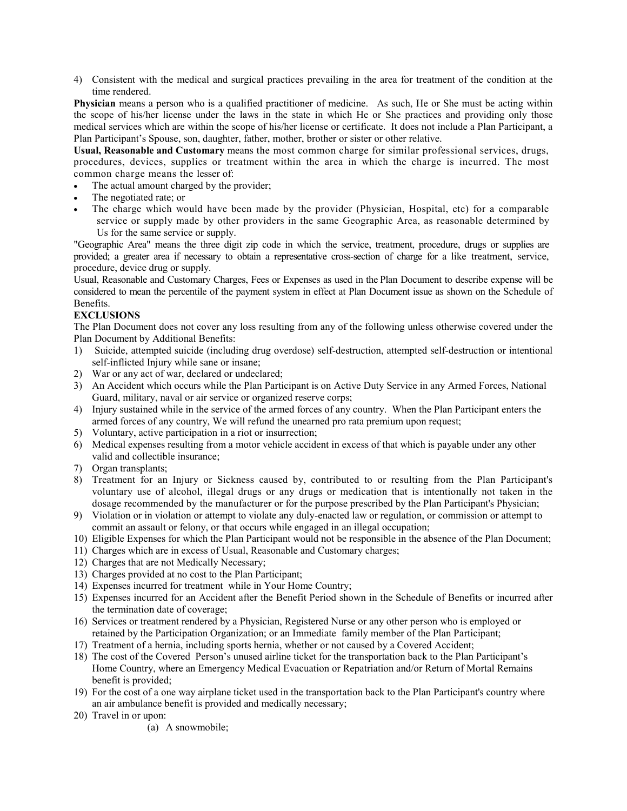4) Consistent with the medical and surgical practices prevailing in the area for treatment of the condition at the time rendered.

**Physician** means a person who is a qualified practitioner of medicine. As such, He or She must be acting within the scope of his/her license under the laws in the state in which He or She practices and providing only those medical services which are within the scope of his/her license or certificate. It does not include a Plan Participant, a Plan Participant's Spouse, son, daughter, father, mother, brother or sister or other relative.

**Usual, Reasonable and Customary** means the most common charge for similar professional services, drugs, procedures, devices, supplies or treatment within the area in which the charge is incurred. The most common charge means the lesser of:

- The actual amount charged by the provider;
- The negotiated rate; or
- The charge which would have been made by the provider (Physician, Hospital, etc) for a comparable service or supply made by other providers in the same Geographic Area, as reasonable determined by Us for the same service or supply.

"Geographic Area" means the three digit zip code in which the service, treatment, procedure, drugs or supplies are provided; a greater area if necessary to obtain a representative cross-section of charge for a like treatment, service, procedure, device drug or supply.

Usual, Reasonable and Customary Charges, Fees or Expenses as used in the Plan Document to describe expense will be considered to mean the percentile of the payment system in effect at Plan Document issue as shown on the Schedule of Benefits.

## **EXCLUSIONS**

The Plan Document does not cover any loss resulting from any of the following unless otherwise covered under the Plan Document by Additional Benefits:

- 1) Suicide, attempted suicide (including drug overdose) self-destruction, attempted self-destruction or intentional self-inflicted Injury while sane or insane;
- 2) War or any act of war, declared or undeclared;
- 3) An Accident which occurs while the Plan Participant is on Active Duty Service in any Armed Forces, National Guard, military, naval or air service or organized reserve corps;
- 4) Injury sustained while in the service of the armed forces of any country. When the Plan Participant enters the armed forces of any country, We will refund the unearned pro rata premium upon request;
- 5) Voluntary, active participation in a riot or insurrection;
- 6) Medical expenses resulting from a motor vehicle accident in excess of that which is payable under any other valid and collectible insurance;
- 7) Organ transplants;
- 8) Treatment for an Injury or Sickness caused by, contributed to or resulting from the Plan Participant's voluntary use of alcohol, illegal drugs or any drugs or medication that is intentionally not taken in the dosage recommended by the manufacturer or for the purpose prescribed by the Plan Participant's Physician;
- 9) Violation or in violation or attempt to violate any duly-enacted law or regulation, or commission or attempt to commit an assault or felony, or that occurs while engaged in an illegal occupation;
- 10) Eligible Expenses for which the Plan Participant would not be responsible in the absence of the Plan Document;
- 11) Charges which are in excess of Usual, Reasonable and Customary charges;
- 12) Charges that are not Medically Necessary;
- 13) Charges provided at no cost to the Plan Participant;
- 14) Expenses incurred for treatment while in Your Home Country;
- 15) Expenses incurred for an Accident after the Benefit Period shown in the Schedule of Benefits or incurred after the termination date of coverage;
- 16) Services or treatment rendered by a Physician, Registered Nurse or any other person who is employed or retained by the Participation Organization; or an Immediate family member of the Plan Participant;
- 17) Treatment of a hernia, including sports hernia, whether or not caused by a Covered Accident;
- 18) The cost of the Covered Person's unused airline ticket for the transportation back to the Plan Participant's Home Country, where an Emergency Medical Evacuation or Repatriation and/or Return of Mortal Remains benefit is provided;
- 19) For the cost of a one way airplane ticket used in the transportation back to the Plan Participant's country where an air ambulance benefit is provided and medically necessary;
- 20) Travel in or upon:

(a) A snowmobile;